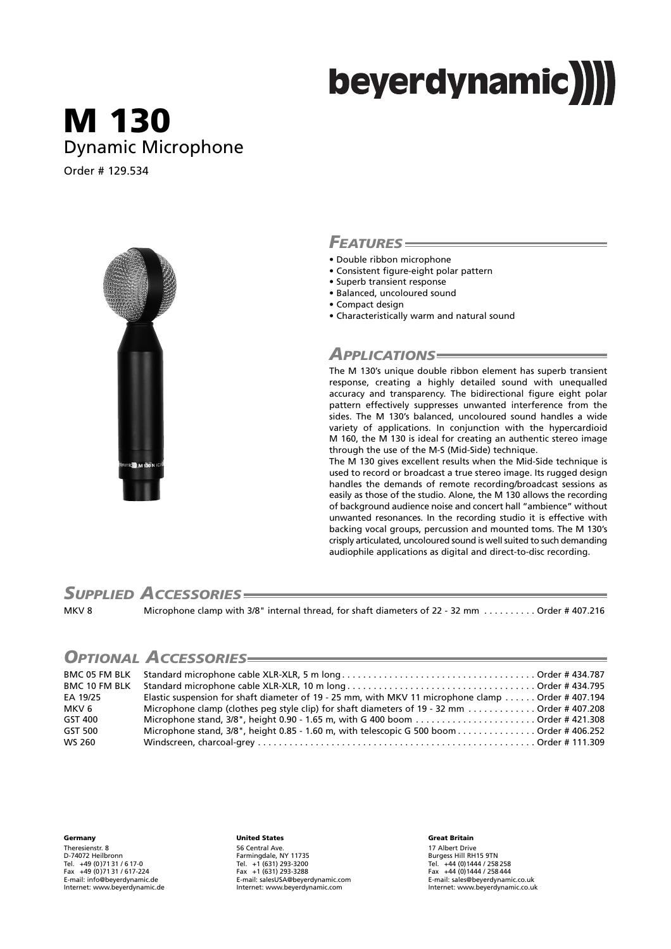# beyerdynamic)

# **M 130** Dynamic Microphone

Order # 129.534



#### *FEATURES*

- Double ribbon microphone
- Consistent figure-eight polar pattern
- Superb transient response
- Balanced, uncoloured sound
- Compact design
- Characteristically warm and natural sound

#### *APPLICATIONS*

The M 130's unique double ribbon element has superb transient response, creating a highly detailed sound with unequalled accuracy and transparency. The bidirectional figure eight polar pattern effectively suppresses unwanted interference from the sides. The M 130's balanced, uncoloured sound handles a wide variety of applications. In conjunction with the hypercardioid M 160, the M 130 is ideal for creating an authentic stereo image through the use of the M-S (Mid-Side) technique.

The M 130 gives excellent results when the Mid-Side technique is used to record or broadcast a true stereo image. Its rugged design handles the demands of remote recording/broadcast sessions as easily as those of the studio. Alone, the M 130 allows the recording of background audience noise and concert hall "ambience" without unwanted resonances. In the recording studio it is effective with backing vocal groups, percussion and mounted toms. The M 130's crisply articulated, uncoloured sound is well suited to such demanding audiophile applications as digital and direct-to-disc recording.

#### *SUPPLIED ACCESSORIES*

MKV 8 Microphone clamp with 3/8" internal thread, for shaft diameters of 22 - 32 mm . . . . . . . . . . Order # 407.216

### *OPTIONAL ACCESSORIES*

| <b>BMC 10 FM BLK</b> |                                                                                                   |  |
|----------------------|---------------------------------------------------------------------------------------------------|--|
| EA 19/25             | Elastic suspension for shaft diameter of 19 - 25 mm, with MKV 11 microphone clamp Order # 407.194 |  |
| MKV 6                | Microphone clamp (clothes peg style clip) for shaft diameters of 19 - 32 mm Order # 407.208       |  |
| GST 400              |                                                                                                   |  |
| GST 500              | Microphone stand, 3/8", height 0.85 - 1.60 m, with telescopic G 500 boom Order # 406.252          |  |
| WS 260               |                                                                                                   |  |

**Germany**

Theresienstr. 8 D-74072 Heilbronn Tel. +49 (0 )71 31 / 6 17-0 Fax +49 (0 )71 31 / 617-224 E-mail: info@beyerdynamic.de Internet: www.beyerdynamic.de

#### **United States**

56 Central Ave. Farmingdale, NY 11735 Tel. +1 (631) 293-3200 Fax +1 (631) 293-3288 E-mail: salesUSA@beyerdynamic.com Internet: www.beyerdynamic.com

#### **Great Britain** 17 Albert Drive Burgess Hill RH15 9TN Tel. +44 (0)1444 / 258 258 Fax +44 (0)1444 / 258 444 E-mail: sales@beyerdynamic.co.uk Internet: www.beyerdynamic.co.uk